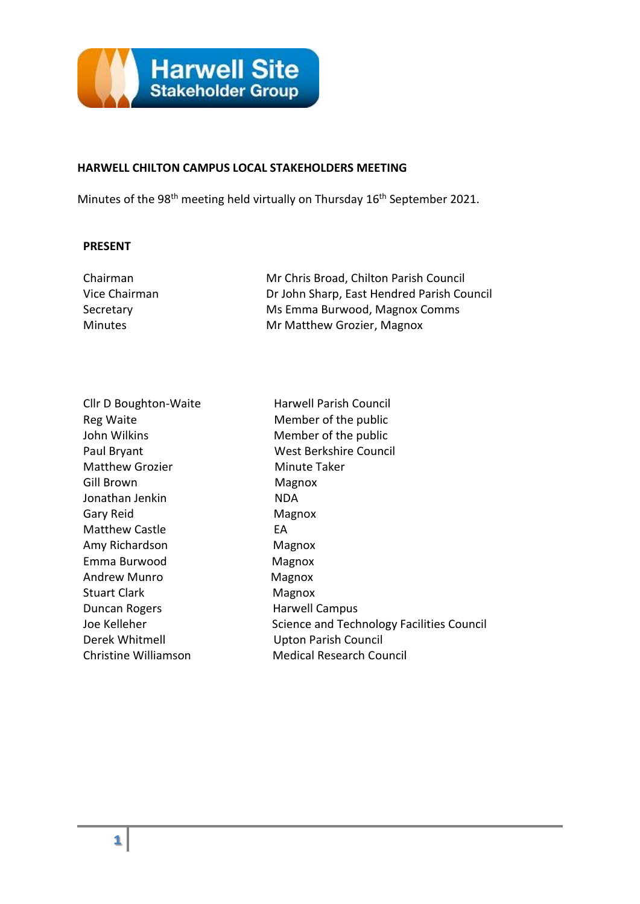

#### **HARWELL CHILTON CAMPUS LOCAL STAKEHOLDERS MEETING**

Minutes of the 98<sup>th</sup> meeting held virtually on Thursday 16<sup>th</sup> September 2021.

#### **PRESENT**

| Mr Chris Broad, Chilton Parish Council     |
|--------------------------------------------|
| Dr John Sharp, East Hendred Parish Council |
| Ms Emma Burwood, Magnox Comms              |
| Mr Matthew Grozier, Magnox                 |
|                                            |

| Cllr D Boughton-Waite  | Ha  |
|------------------------|-----|
| Reg Waite              | M٥  |
| John Wilkins           | M   |
| Paul Bryant            | W۰  |
| <b>Matthew Grozier</b> | Mi  |
| Gill Brown             | Mi  |
| Jonathan Jenkin        | ND  |
| Gary Reid              | Ma  |
| <b>Matthew Castle</b>  | EА  |
| Amy Richardson         | Ma  |
| Emma Burwood           | Ma  |
| <b>Andrew Munro</b>    | Ma  |
| <b>Stuart Clark</b>    | Mε  |
| Duncan Rogers          | Ha  |
| Joe Kelleher           | Sci |
| Derek Whitmell         | Up  |
| Christine Williamson   | Me  |

Harwell Parish Council Member of the public Member of the public West Berkshire Council Minute Taker Magnox NDA Magnox Magnox Magnox Magnox Magnox Harwell Campus Science and Technology Facilities Council Upton Parish Council **Medical Research Council**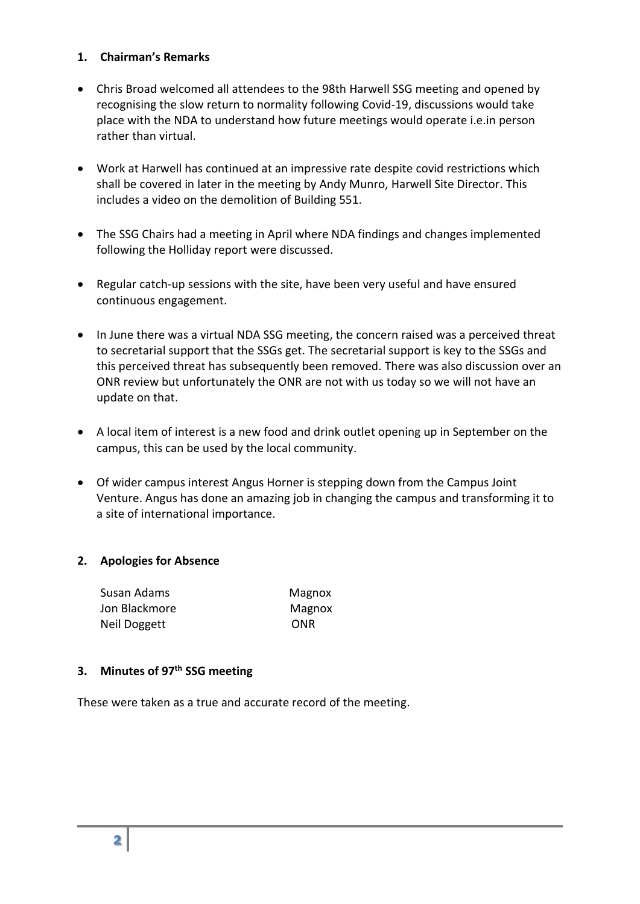### **1. Chairman's Remarks**

- Chris Broad welcomed all attendees to the 98th Harwell SSG meeting and opened by recognising the slow return to normality following Covid-19, discussions would take place with the NDA to understand how future meetings would operate i.e.in person rather than virtual.
- Work at Harwell has continued at an impressive rate despite covid restrictions which shall be covered in later in the meeting by Andy Munro, Harwell Site Director. This includes a video on the demolition of Building 551.
- The SSG Chairs had a meeting in April where NDA findings and changes implemented following the Holliday report were discussed.
- Regular catch-up sessions with the site, have been very useful and have ensured continuous engagement.
- In June there was a virtual NDA SSG meeting, the concern raised was a perceived threat to secretarial support that the SSGs get. The secretarial support is key to the SSGs and this perceived threat has subsequently been removed. There was also discussion over an ONR review but unfortunately the ONR are not with us today so we will not have an update on that.
- A local item of interest is a new food and drink outlet opening up in September on the campus, this can be used by the local community.
- Of wider campus interest Angus Horner is stepping down from the Campus Joint Venture. Angus has done an amazing job in changing the campus and transforming it to a site of international importance.

# **2. Apologies for Absence**

| Susan Adams   | Magnox |
|---------------|--------|
| Jon Blackmore | Magnox |
| Neil Doggett  | ONR    |

### **3. Minutes of 97 th SSG meeting**

These were taken as a true and accurate record of the meeting.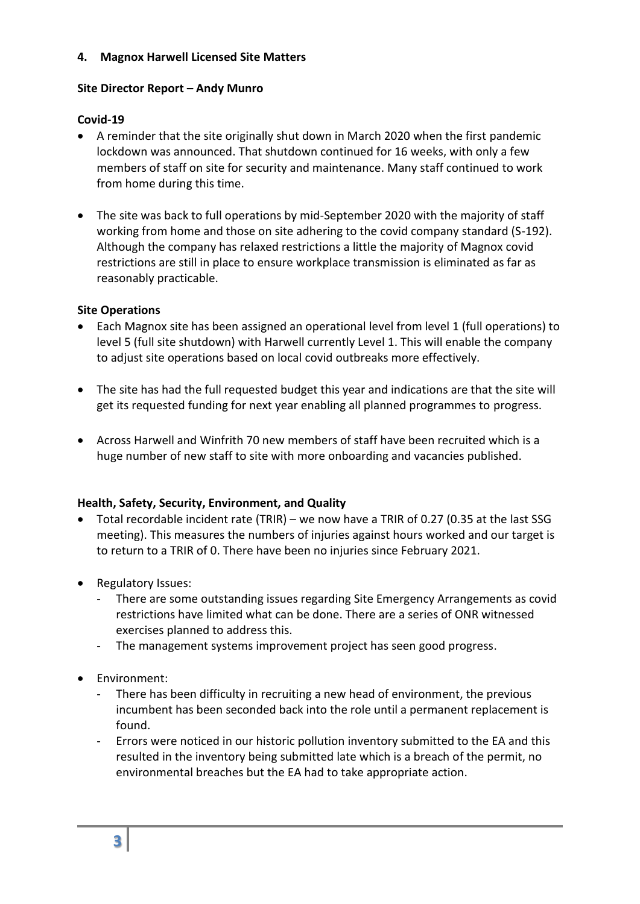## **4. Magnox Harwell Licensed Site Matters**

## **Site Director Report – Andy Munro**

# **Covid-19**

- A reminder that the site originally shut down in March 2020 when the first pandemic lockdown was announced. That shutdown continued for 16 weeks, with only a few members of staff on site for security and maintenance. Many staff continued to work from home during this time.
- The site was back to full operations by mid-September 2020 with the majority of staff working from home and those on site adhering to the covid company standard (S-192). Although the company has relaxed restrictions a little the majority of Magnox covid restrictions are still in place to ensure workplace transmission is eliminated as far as reasonably practicable.

## **Site Operations**

- Each Magnox site has been assigned an operational level from level 1 (full operations) to level 5 (full site shutdown) with Harwell currently Level 1. This will enable the company to adjust site operations based on local covid outbreaks more effectively.
- The site has had the full requested budget this year and indications are that the site will get its requested funding for next year enabling all planned programmes to progress.
- Across Harwell and Winfrith 70 new members of staff have been recruited which is a huge number of new staff to site with more onboarding and vacancies published.

# **Health, Safety, Security, Environment, and Quality**

- Total recordable incident rate (TRIR) we now have a TRIR of 0.27 (0.35 at the last SSG meeting). This measures the numbers of injuries against hours worked and our target is to return to a TRIR of 0. There have been no injuries since February 2021.
- Regulatory Issues:
	- There are some outstanding issues regarding Site Emergency Arrangements as covid restrictions have limited what can be done. There are a series of ONR witnessed exercises planned to address this.
	- The management systems improvement project has seen good progress.
- Environment:
	- There has been difficulty in recruiting a new head of environment, the previous incumbent has been seconded back into the role until a permanent replacement is found.
	- Errors were noticed in our historic pollution inventory submitted to the EA and this resulted in the inventory being submitted late which is a breach of the permit, no environmental breaches but the EA had to take appropriate action.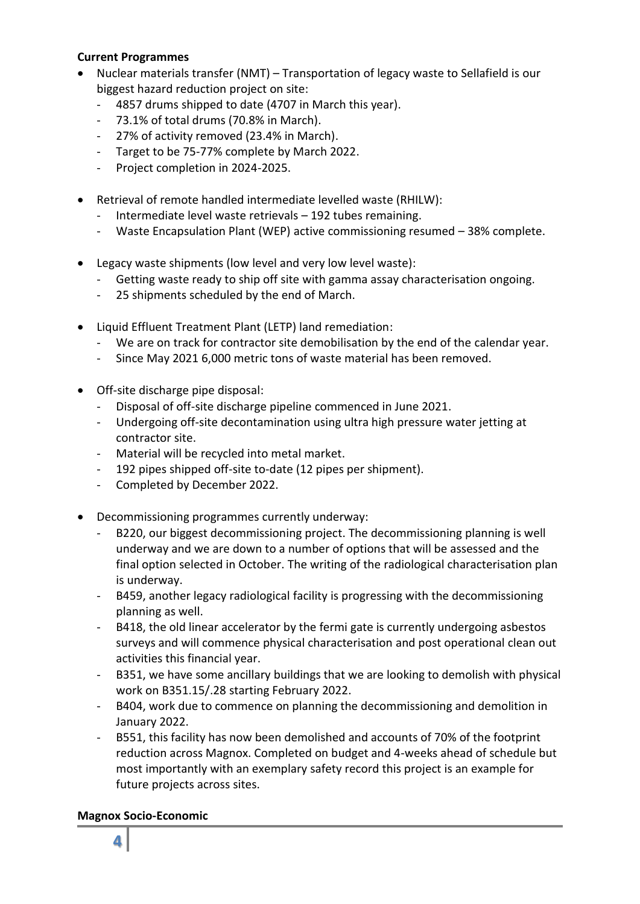### **Current Programmes**

- Nuclear materials transfer (NMT) Transportation of legacy waste to Sellafield is our biggest hazard reduction project on site:
	- 4857 drums shipped to date (4707 in March this year).
	- 73.1% of total drums (70.8% in March).
	- 27% of activity removed (23.4% in March).
	- Target to be 75-77% complete by March 2022.
	- Project completion in 2024-2025.
- Retrieval of remote handled intermediate levelled waste (RHILW):
	- Intermediate level waste retrievals 192 tubes remaining.
	- Waste Encapsulation Plant (WEP) active commissioning resumed 38% complete.
- Legacy waste shipments (low level and very low level waste):
	- Getting waste ready to ship off site with gamma assay characterisation ongoing.
	- 25 shipments scheduled by the end of March.
- Liquid Effluent Treatment Plant (LETP) land remediation:
	- We are on track for contractor site demobilisation by the end of the calendar year.
	- Since May 2021 6,000 metric tons of waste material has been removed.
- Off-site discharge pipe disposal:
	- Disposal of off-site discharge pipeline commenced in June 2021.
	- Undergoing off-site decontamination using ultra high pressure water jetting at contractor site.
	- Material will be recycled into metal market.
	- 192 pipes shipped off-site to-date (12 pipes per shipment).
	- Completed by December 2022.
- Decommissioning programmes currently underway:
	- B220, our biggest decommissioning project. The decommissioning planning is well underway and we are down to a number of options that will be assessed and the final option selected in October. The writing of the radiological characterisation plan is underway.
	- B459, another legacy radiological facility is progressing with the decommissioning planning as well.
	- B418, the old linear accelerator by the fermi gate is currently undergoing asbestos surveys and will commence physical characterisation and post operational clean out activities this financial year.
	- B351, we have some ancillary buildings that we are looking to demolish with physical work on B351.15/.28 starting February 2022.
	- B404, work due to commence on planning the decommissioning and demolition in January 2022.
	- B551, this facility has now been demolished and accounts of 70% of the footprint reduction across Magnox. Completed on budget and 4-weeks ahead of schedule but most importantly with an exemplary safety record this project is an example for future projects across sites.

### **Magnox Socio-Economic**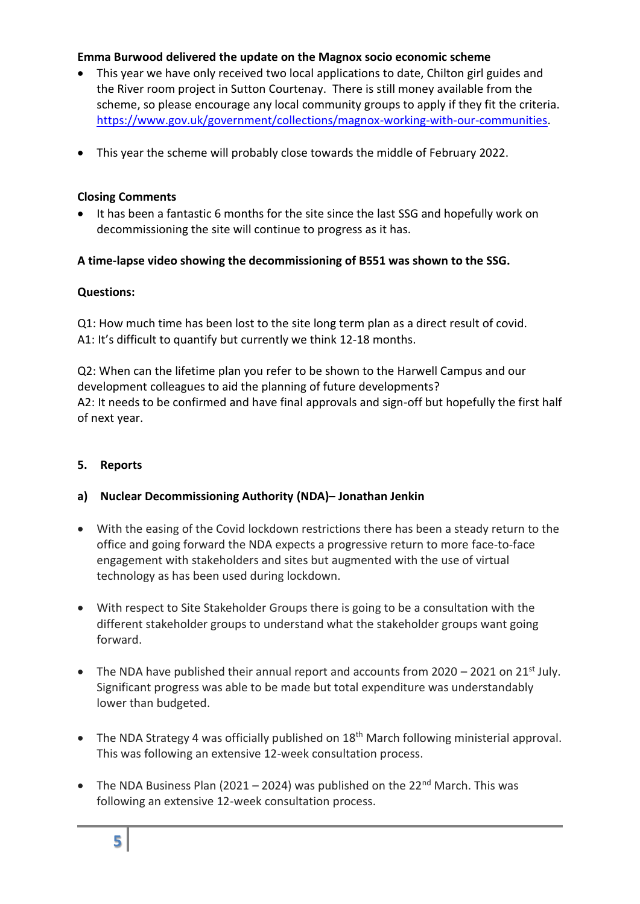## **Emma Burwood delivered the update on the Magnox socio economic scheme**

- This year we have only received two local applications to date, Chilton girl guides and the River room project in Sutton Courtenay. There is still money available from the scheme, so please encourage any local community groups to apply if they fit the criteria. [https://www.gov.uk/government/collections/magnox-working-with-our-communities.](https://www.gov.uk/government/collections/magnox-working-with-our-communities)
- This year the scheme will probably close towards the middle of February 2022.

## **Closing Comments**

• It has been a fantastic 6 months for the site since the last SSG and hopefully work on decommissioning the site will continue to progress as it has.

# **A time-lapse video showing the decommissioning of B551 was shown to the SSG.**

## **Questions:**

Q1: How much time has been lost to the site long term plan as a direct result of covid. A1: It's difficult to quantify but currently we think 12-18 months.

Q2: When can the lifetime plan you refer to be shown to the Harwell Campus and our development colleagues to aid the planning of future developments? A2: It needs to be confirmed and have final approvals and sign-off but hopefully the first half of next year.

### **5. Reports**

# **a) Nuclear Decommissioning Authority (NDA)– Jonathan Jenkin**

- With the easing of the Covid lockdown restrictions there has been a steady return to the office and going forward the NDA expects a progressive return to more face-to-face engagement with stakeholders and sites but augmented with the use of virtual technology as has been used during lockdown.
- With respect to Site Stakeholder Groups there is going to be a consultation with the different stakeholder groups to understand what the stakeholder groups want going forward.
- The NDA have published their annual report and accounts from  $2020 2021$  on  $21<sup>st</sup>$  July. Significant progress was able to be made but total expenditure was understandably lower than budgeted.
- The NDA Strategy 4 was officially published on  $18<sup>th</sup>$  March following ministerial approval. This was following an extensive 12-week consultation process.
- The NDA Business Plan (2021 2024) was published on the 22<sup>nd</sup> March. This was following an extensive 12-week consultation process.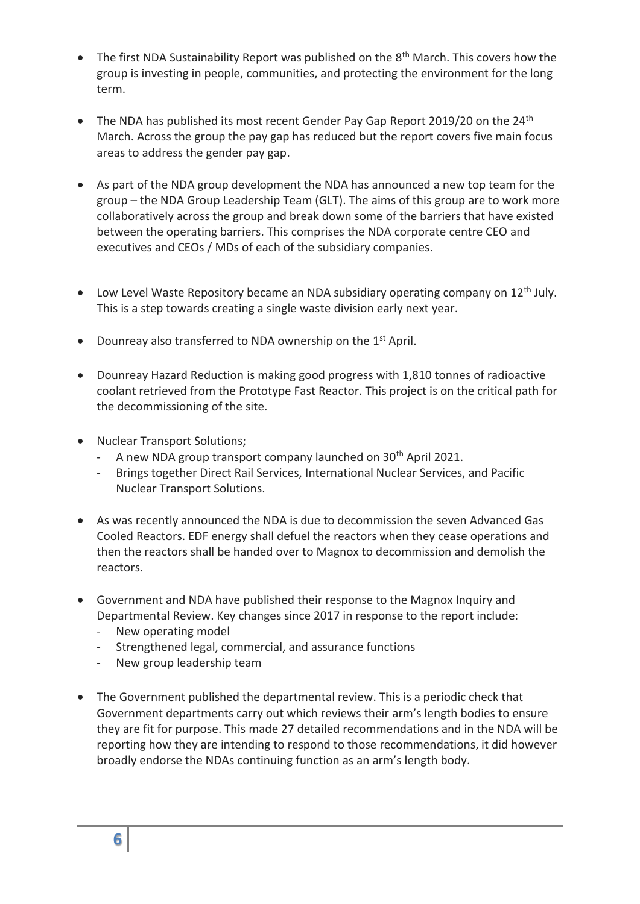- The first NDA Sustainability Report was published on the 8<sup>th</sup> March. This covers how the group is investing in people, communities, and protecting the environment for the long term.
- The NDA has published its most recent Gender Pay Gap Report 2019/20 on the 24<sup>th</sup> March. Across the group the pay gap has reduced but the report covers five main focus areas to address the gender pay gap.
- As part of the NDA group development the NDA has announced a new top team for the group – the NDA Group Leadership Team (GLT). The aims of this group are to work more collaboratively across the group and break down some of the barriers that have existed between the operating barriers. This comprises the NDA corporate centre CEO and executives and CEOs / MDs of each of the subsidiary companies.
- Low Level Waste Repository became an NDA subsidiary operating company on  $12<sup>th</sup>$  July. This is a step towards creating a single waste division early next year.
- Dounreay also transferred to NDA ownership on the  $1<sup>st</sup>$  April.
- Dounreay Hazard Reduction is making good progress with 1,810 tonnes of radioactive coolant retrieved from the Prototype Fast Reactor. This project is on the critical path for the decommissioning of the site.
- Nuclear Transport Solutions;
	- A new NDA group transport company launched on  $30<sup>th</sup>$  April 2021.
	- Brings together Direct Rail Services, International Nuclear Services, and Pacific Nuclear Transport Solutions.
- As was recently announced the NDA is due to decommission the seven Advanced Gas Cooled Reactors. EDF energy shall defuel the reactors when they cease operations and then the reactors shall be handed over to Magnox to decommission and demolish the reactors.
- Government and NDA have published their response to the Magnox Inquiry and Departmental Review. Key changes since 2017 in response to the report include:
	- New operating model
	- Strengthened legal, commercial, and assurance functions
	- New group leadership team
- The Government published the departmental review. This is a periodic check that Government departments carry out which reviews their arm's length bodies to ensure they are fit for purpose. This made 27 detailed recommendations and in the NDA will be reporting how they are intending to respond to those recommendations, it did however broadly endorse the NDAs continuing function as an arm's length body.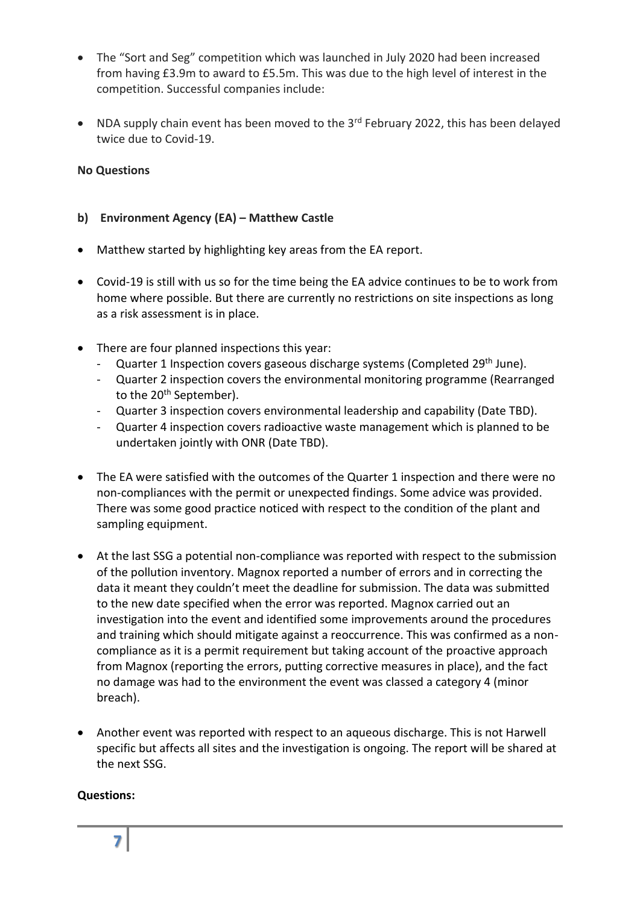- The "Sort and Seg" competition which was launched in July 2020 had been increased from having £3.9m to award to £5.5m. This was due to the high level of interest in the competition. Successful companies include:
- NDA supply chain event has been moved to the  $3<sup>rd</sup>$  February 2022, this has been delayed twice due to Covid-19.

### **No Questions**

## **b) Environment Agency (EA) – Matthew Castle**

- Matthew started by highlighting key areas from the EA report.
- Covid-19 is still with us so for the time being the EA advice continues to be to work from home where possible. But there are currently no restrictions on site inspections as long as a risk assessment is in place.
- There are four planned inspections this year:
	- Quarter 1 Inspection covers gaseous discharge systems (Completed 29<sup>th</sup> June).
	- Quarter 2 inspection covers the environmental monitoring programme (Rearranged to the 20<sup>th</sup> September).
	- Quarter 3 inspection covers environmental leadership and capability (Date TBD).
	- Quarter 4 inspection covers radioactive waste management which is planned to be undertaken jointly with ONR (Date TBD).
- The EA were satisfied with the outcomes of the Quarter 1 inspection and there were no non-compliances with the permit or unexpected findings. Some advice was provided. There was some good practice noticed with respect to the condition of the plant and sampling equipment.
- At the last SSG a potential non-compliance was reported with respect to the submission of the pollution inventory. Magnox reported a number of errors and in correcting the data it meant they couldn't meet the deadline for submission. The data was submitted to the new date specified when the error was reported. Magnox carried out an investigation into the event and identified some improvements around the procedures and training which should mitigate against a reoccurrence. This was confirmed as a noncompliance as it is a permit requirement but taking account of the proactive approach from Magnox (reporting the errors, putting corrective measures in place), and the fact no damage was had to the environment the event was classed a category 4 (minor breach).
- Another event was reported with respect to an aqueous discharge. This is not Harwell specific but affects all sites and the investigation is ongoing. The report will be shared at the next SSG.

### **Questions:**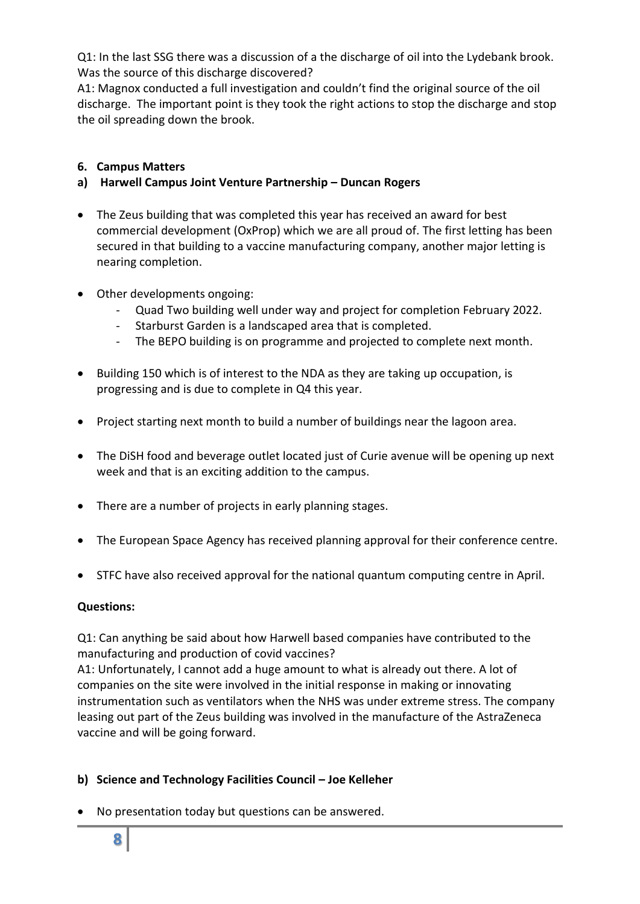Q1: In the last SSG there was a discussion of a the discharge of oil into the Lydebank brook. Was the source of this discharge discovered?

A1: Magnox conducted a full investigation and couldn't find the original source of the oil discharge. The important point is they took the right actions to stop the discharge and stop the oil spreading down the brook.

## **6. Campus Matters**

## **a) Harwell Campus Joint Venture Partnership – Duncan Rogers**

- The Zeus building that was completed this year has received an award for best commercial development (OxProp) which we are all proud of. The first letting has been secured in that building to a vaccine manufacturing company, another major letting is nearing completion.
- Other developments ongoing:
	- Quad Two building well under way and project for completion February 2022.
	- Starburst Garden is a landscaped area that is completed.
	- The BEPO building is on programme and projected to complete next month.
- Building 150 which is of interest to the NDA as they are taking up occupation, is progressing and is due to complete in Q4 this year.
- Project starting next month to build a number of buildings near the lagoon area.
- The DiSH food and beverage outlet located just of Curie avenue will be opening up next week and that is an exciting addition to the campus.
- There are a number of projects in early planning stages.
- The European Space Agency has received planning approval for their conference centre.
- STFC have also received approval for the national quantum computing centre in April.

### **Questions:**

Q1: Can anything be said about how Harwell based companies have contributed to the manufacturing and production of covid vaccines?

A1: Unfortunately, I cannot add a huge amount to what is already out there. A lot of companies on the site were involved in the initial response in making or innovating instrumentation such as ventilators when the NHS was under extreme stress. The company leasing out part of the Zeus building was involved in the manufacture of the AstraZeneca vaccine and will be going forward.

# **b) Science and Technology Facilities Council – Joe Kelleher**

• No presentation today but questions can be answered.